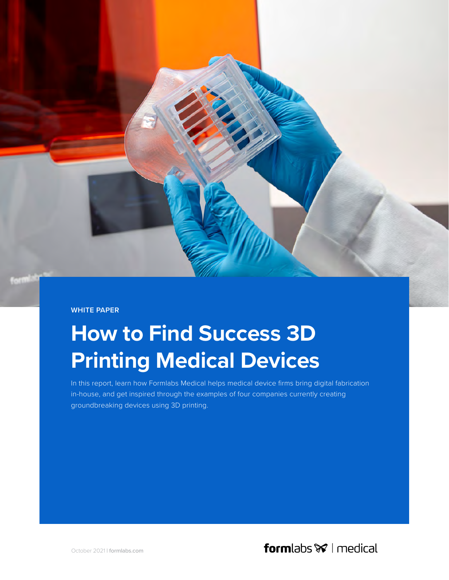**WHITE PAPER** 

# **How to Find Success 3D Printing Medical Devices**

In this report, learn how Formlabs Medical helps medical device firms bring digital fabrication in-house, and get inspired through the examples of four companies currently creating groundbreaking devices using 3D printing.

October 2021 | formlabs.com

**form** labs  $\mathcal{V}$  | medical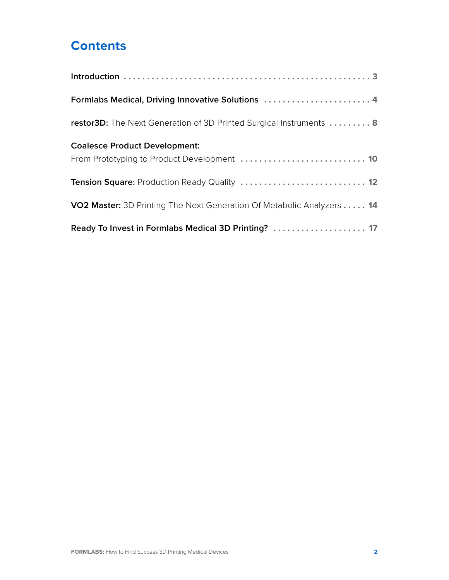# **Contents**

| Formlabs Medical, Driving Innovative Solutions  4                      |
|------------------------------------------------------------------------|
| restor3D: The Next Generation of 3D Printed Surgical Instruments  8    |
| <b>Coalesce Product Development:</b>                                   |
|                                                                        |
| Tension Square: Production Ready Quality  12                           |
| VO2 Master: 3D Printing The Next Generation Of Metabolic Analyzers  14 |
| Ready To Invest in Formlabs Medical 3D Printing?  17                   |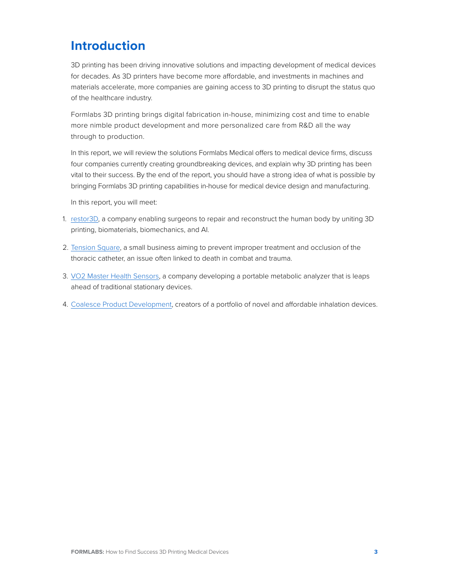# <span id="page-2-0"></span>**Introduction**

3D printing has been driving innovative solutions and impacting development of medical devices for decades. As 3D printers have become more affordable, and investments in machines and materials accelerate, more companies are gaining access to 3D printing to disrupt the status quo of the healthcare industry.

Formlabs 3D printing brings digital fabrication in-house, minimizing cost and time to enable more nimble product development and more personalized care from R&D all the way through to production.

In this report, we will review the solutions Formlabs Medical offers to medical device firms, discuss four companies currently creating groundbreaking devices, and explain why 3D printing has been vital to their success. By the end of the report, you should have a strong idea of what is possible by bringing Formlabs 3D printing capabilities in-house for medical device design and manufacturing.

In this report, you will meet:

- 1. [restor3D,](https://www.restor3d.com/) a company enabling surgeons to repair and reconstruct the human body by uniting 3D printing, biomaterials, biomechanics, and AI.
- 2. [Tension Square,](https://www.tensionsquare.com/) a small business aiming to prevent improper treatment and occlusion of the thoracic catheter, an issue often linked to death in combat and trauma.
- 3. [VO2 Master Health Sensors,](https://vo2master.com/) a company developing a portable metabolic analyzer that is leaps ahead of traditional stationary devices.
- 4. [Coalesce Product Development](https://www.coalesce.co.uk/), creators of a portfolio of novel and affordable inhalation devices.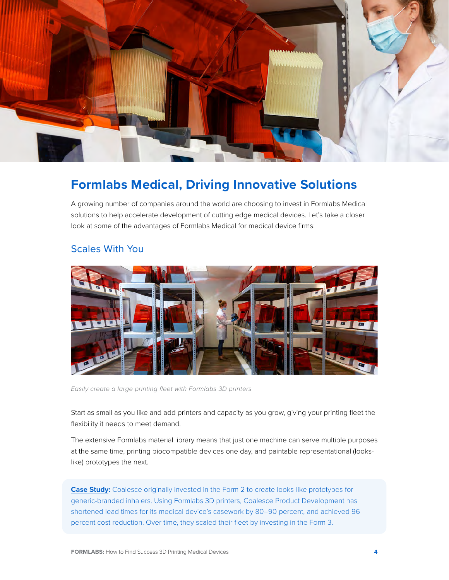<span id="page-3-0"></span>

## **Formlabs Medical, Driving Innovative Solutions**

A growing number of companies around the world are choosing to invest in Formlabs Medical solutions to help accelerate development of cutting edge medical devices. Let's take a closer look at some of the advantages of Formlabs Medical for medical device firms:

#### Scales With You



*Easily create a large printing fleet with Formlabs 3D printers*

Start as small as you like and add printers and capacity as you grow, giving your printing fleet the flexibility it needs to meet demand.

The extensive Formlabs material library means that just one machine can serve multiple purposes at the same time, printing biocompatible devices one day, and paintable representational (lookslike) prototypes the next.

**Case Study:** [Coalesce originally invested in the Form 2 to create looks-like prototypes for](#page-9-1)  [generic-branded inhalers. Using Formlabs 3D printers, Coalesce Product Development has](#page-9-1)  [shortened lead times for its medical device's casework by 80–90 percent, and achieved 96](#page-9-1)  [percent cost reduction. Over time, they scaled their fleet by investing in the Form 3.](#page-9-1)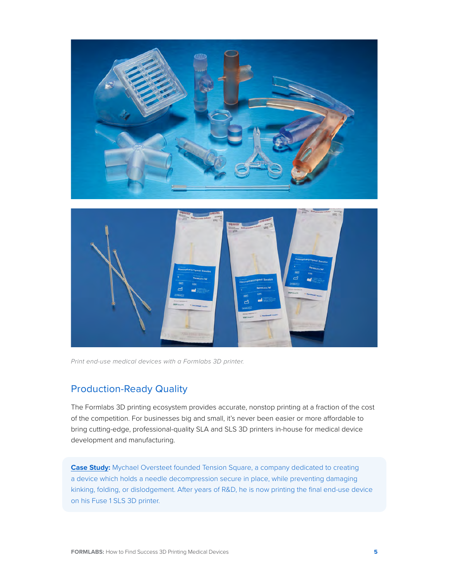



*Print end-use medical devices with a Formlabs 3D printer.*

## Production-Ready Quality

The Formlabs 3D printing ecosystem provides accurate, nonstop printing at a fraction of the cost of the competition. For businesses big and small, it's never been easier or more affordable to bring cutting-edge, professional-quality SLA and SLS 3D printers in-house for medical device development and manufacturing.

**Case Study:** [Mychael Oversteet founded Tension Square, a company dedicated to creating](#page-11-1)  [a device which holds a needle decompression secure in place, while preventing damaging](#page-11-1)  [kinking, folding, or dislodgement. After years of R&D, he is now printing the final end-use device](#page-11-1)  [on his Fuse 1 SLS 3D printer.](#page-11-1)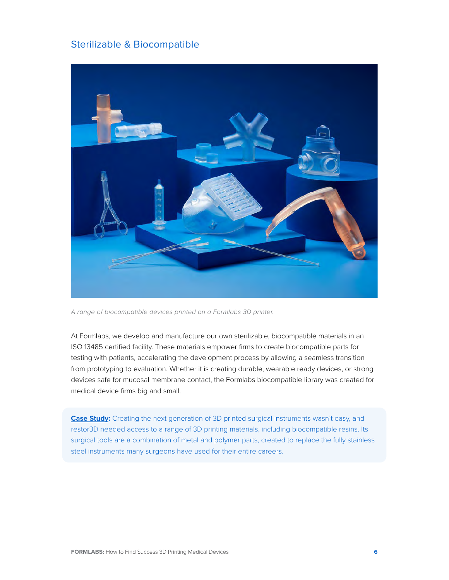#### Sterilizable & Biocompatible



*A range of biocompatible devices printed on a Formlabs 3D printer.*

At Formlabs, we develop and manufacture our own sterilizable, biocompatible materials in an ISO 13485 certified facility. These materials empower firms to create biocompatible parts for testing with patients, accelerating the development process by allowing a seamless transition from prototyping to evaluation. Whether it is creating durable, wearable ready devices, or strong devices safe for mucosal membrane contact, the Formlabs biocompatible library was created for medical device firms big and small.

**Case Study:** Creating the next generation of 3D printed surgical instruments wasn't easy, and [restor3D needed access to a range of 3D printing materials, including biocompatible resins. Its](#page-7-1)  [surgical tools are a combination of metal and polymer parts, created to replace the fully stainless](#page-7-1)  [steel instruments many surgeons have used for their entire careers.](#page-7-1)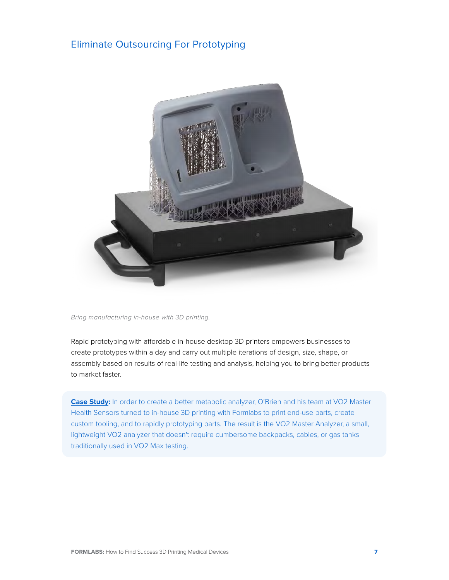#### Eliminate Outsourcing For Prototyping



*Bring manufacturing in-house with 3D printing.*

Rapid prototyping with affordable in-house desktop 3D printers empowers businesses to create prototypes within a day and carry out multiple iterations of design, size, shape, or assembly based on results of real-life testing and analysis, helping you to bring better products to market faster.

**Case Study:** [In order to create a better metabolic analyzer, O'Brien and his team at VO2 Master](#page-13-1)  [Health Sensors turned to in-house 3D printing with Formlabs to print end-use parts, create](#page-13-1)  [custom tooling, and to rapidly prototyping parts. The result is the VO2 Master Analyzer, a small,](#page-13-1)  [lightweight VO2 analyzer that doesn't require cumbersome backpacks, cables, or gas tanks](#page-13-1)  [traditionally used in VO2 Max testing.](#page-13-1)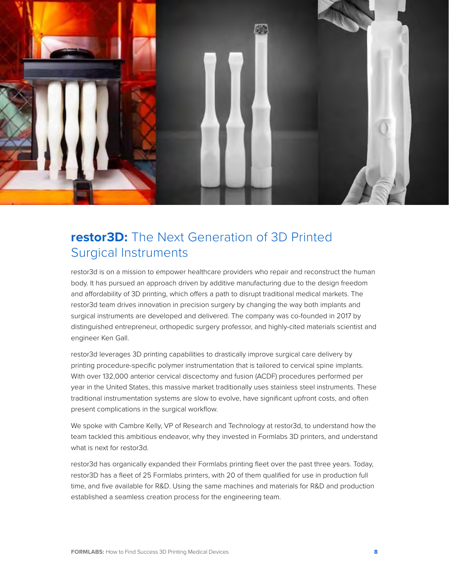<span id="page-7-0"></span>

## <span id="page-7-1"></span>**restor3D:** The Next Generation of 3D Printed Surgical Instruments

restor3d is on a mission to empower healthcare providers who repair and reconstruct the human body. It has pursued an approach driven by additive manufacturing due to the design freedom and affordability of 3D printing, which offers a path to disrupt traditional medical markets. The restor3d team drives innovation in precision surgery by changing the way both implants and surgical instruments are developed and delivered. The company was co-founded in 2017 by distinguished entrepreneur, orthopedic surgery professor, and highly-cited materials scientist and engineer Ken Gall.

restor3d leverages 3D printing capabilities to drastically improve surgical care delivery by printing procedure-specific polymer instrumentation that is tailored to cervical spine implants. With over 132,000 anterior cervical discectomy and fusion (ACDF) procedures performed per year in the United States, this massive market traditionally uses stainless steel instruments. These traditional instrumentation systems are slow to evolve, have significant upfront costs, and often present complications in the surgical workflow.

We spoke with Cambre Kelly, VP of Research and Technology at restor3d, to understand how the team tackled this ambitious endeavor, why they invested in Formlabs 3D printers, and understand what is next for restor3d.

restor3d has organically expanded their Formlabs printing fleet over the past three years. Today, restor3D has a fleet of 25 Formlabs printers, with 20 of them qualified for use in production full time, and five available for R&D. Using the same machines and materials for R&D and production established a seamless creation process for the engineering team.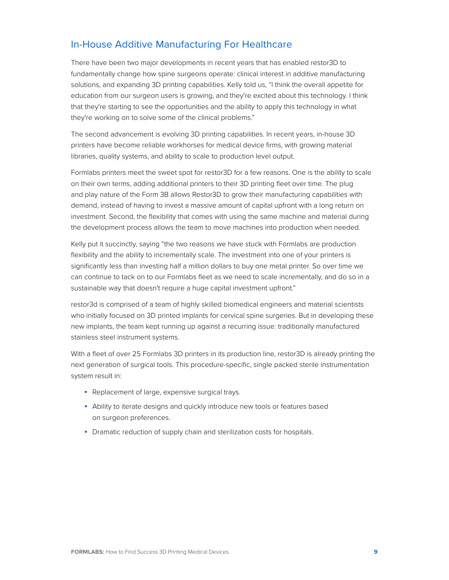## In-House Additive Manufacturing For Healthcare

There have been two major developments in recent years that has enabled restor3D to fundamentally change how spine surgeons operate: clinical interest in additive manufacturing solutions, and expanding 3D printing capabilities. Kelly told us, "I think the overall appetite for education from our surgeon users is growing, and they're excited about this technology. I think that they're starting to see the opportunities and the ability to apply this technology in what they're working on to solve some of the clinical problems."

The second advancement is evolving 3D printing capabilities. In recent years, in-house 3D printers have become reliable workhorses for medical device firms, with growing material libraries, quality systems, and ability to scale to production level output.

Formlabs printers meet the sweet spot for restor3D for a few reasons. One is the ability to scale on their own terms, adding additional printers to their 3D printing fleet over time. The plug and play nature of the Form 3B allows Restor3D to grow their manufacturing capabilities with demand, instead of having to invest a massive amount of capital upfront with a long return on investment. Second, the flexibility that comes with using the same machine and material during the development process allows the team to move machines into production when needed.

Kelly put it succinctly, saying "the two reasons we have stuck with Formlabs are production flexibility and the ability to incrementally scale. The investment into one of your printers is significantly less than investing half a million dollars to buy one metal printer. So over time we can continue to tack on to our Formlabs fleet as we need to scale incrementally, and do so in a sustainable way that doesn't require a huge capital investment upfront."

restor3d is comprised of a team of highly skilled biomedical engineers and material scientists who initially focused on 3D printed implants for cervical spine surgeries. But in developing these new implants, the team kept running up against a recurring issue: traditionally manufactured stainless steel instrument systems.

With a fleet of over 25 Formlabs 3D printers in its production line, restor3D is already printing the next generation of surgical tools. This procedure-specific, single packed sterile instrumentation system result in:

- Replacement of large, expensive surgical trays.
- Ability to iterate designs and quickly introduce new tools or features based on surgeon preferences.
- Dramatic reduction of supply chain and sterilization costs for hospitals.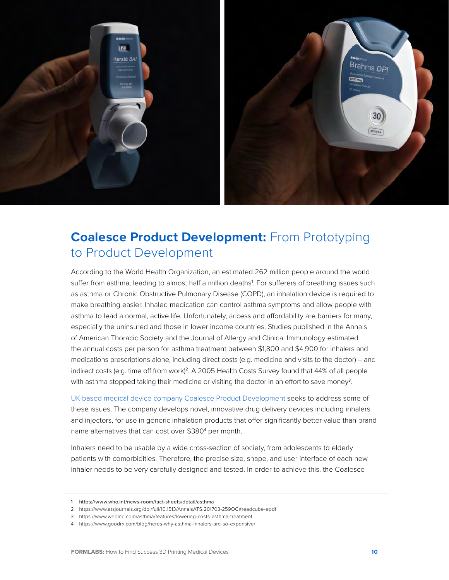<span id="page-9-0"></span>

# <span id="page-9-1"></span>**Coalesce Product Development: From Prototyping** to Product Development

According to the World Health Organization, an estimated 262 million people around the world suffer from asthma, leading to almost half a million deaths<sup>1</sup>. For sufferers of breathing issues such as asthma or Chronic Obstructive Pulmonary Disease (COPD), an inhalation device is required to make breathing easier. Inhaled medication can control asthma symptoms and allow people with asthma to lead a normal, active life. Unfortunately, access and affordability are barriers for many, especially the uninsured and those in lower income countries. Studies published in the Annals of American Thoracic Society and the Journal of Allergy and Clinical Immunology estimated the annual costs per person for asthma treatment between \$1,800 and \$4,900 for inhalers and medications prescriptions alone, including direct costs (e.g. medicine and visits to the doctor) -- and indirect costs (e.g. time off from work)<sup>2</sup>. A 2005 Health Costs Survey found that 44% of all people with asthma stopped taking their medicine or visiting the doctor in an effort to save money<sup>3</sup>.

[UK-based medical device company Coalesce Product Development](https://www.coalesce.co.uk/) seeks to address some of these issues. The company develops novel, innovative drug delivery devices including inhalers and injectors, for use in generic inhalation products that offer significantly better value than brand name alternatives that can cost over \$380<sup>4</sup> per month.

Inhalers need to be usable by a wide cross-section of society, from adolescents to elderly patients with comorbidities. Therefore, the precise size, shape, and user interface of each new inhaler needs to be very carefully designed and tested. In order to achieve this, the Coalesce

<sup>1</sup> https://www.who.int/news-room/fact-sheets/detail/asthma

<sup>2</sup> https://www.atsjournals.org/doi/full/10.1513/AnnalsATS.201703-259OC#readcube-epdf

<sup>3</sup> https://www.webmd.com/asthma/features/lowering-costs-asthma-treatment

<sup>4</sup> https://www.goodrx.com/blog/heres-why-asthma-inhalers-are-so-expensive/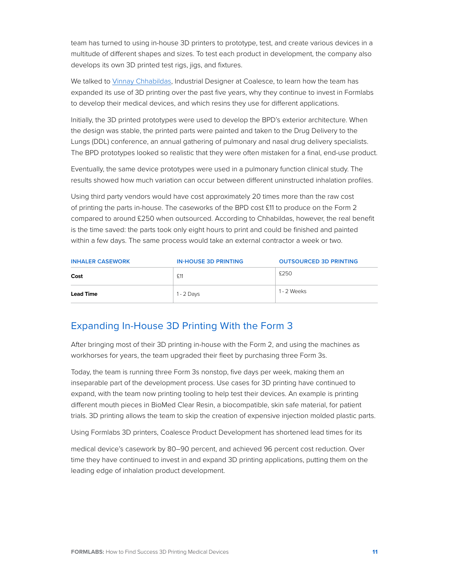team has turned to using in-house 3D printers to prototype, test, and create various devices in a multitude of different shapes and sizes. To test each product in development, the company also develops its own 3D printed test rigs, jigs, and fixtures.

We talked to [Vinnay Chhabildas,](https://www.linkedin.com/in/vinnay-chhabildas-35b03791/?originalSubdomain=uk) Industrial Designer at Coalesce, to learn how the team has expanded its use of 3D printing over the past five years, why they continue to invest in Formlabs to develop their medical devices, and which resins they use for different applications.

Initially, the 3D printed prototypes were used to develop the BPD's exterior architecture. When the design was stable, the printed parts were painted and taken to the Drug Delivery to the Lungs (DDL) conference, an annual gathering of pulmonary and nasal drug delivery specialists. The BPD prototypes looked so realistic that they were often mistaken for a final, end-use product.

Eventually, the same device prototypes were used in a pulmonary function clinical study. The results showed how much variation can occur between different uninstructed inhalation profiles.

Using third party vendors would have cost approximately 20 times more than the raw cost of printing the parts in-house. The caseworks of the BPD cost £11 to produce on the Form 2 compared to around £250 when outsourced. According to Chhabildas, however, the real benefit is the time saved: the parts took only eight hours to print and could be finished and painted within a few days. The same process would take an external contractor a week or two.

| <b>INHALER CASEWORK</b> | <b>IN-HOUSE 3D PRINTING</b> | <b>OUTSOURCED 3D PRINTING</b> |
|-------------------------|-----------------------------|-------------------------------|
| Cost                    | £11                         | £250                          |
| <b>Lead Time</b>        | 1 - 2 Days                  | 1 - 2 Weeks                   |

### Expanding In-House 3D Printing With the Form 3

After bringing most of their 3D printing in-house with the Form 2, and using the machines as workhorses for years, the team upgraded their fleet by purchasing three Form 3s.

Today, the team is running three Form 3s nonstop, five days per week, making them an inseparable part of the development process. Use cases for 3D printing have continued to expand, with the team now printing tooling to help test their devices. An example is printing different mouth pieces in BioMed Clear Resin, a biocompatible, skin safe material, for patient trials. 3D printing allows the team to skip the creation of expensive injection molded plastic parts.

Using Formlabs 3D printers, Coalesce Product Development has shortened lead times for its

medical device's casework by 80–90 percent, and achieved 96 percent cost reduction. Over time they have continued to invest in and expand 3D printing applications, putting them on the leading edge of inhalation product development.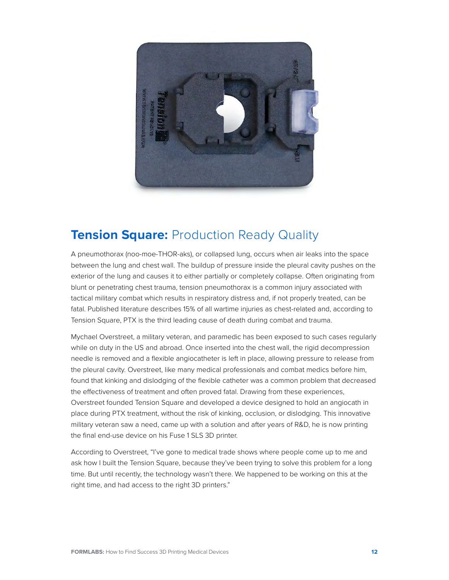<span id="page-11-0"></span>

## <span id="page-11-1"></span>**Tension Square: Production Ready Quality**

A pneumothorax (noo-moe-THOR-aks), or collapsed lung, occurs when air leaks into the space between the lung and chest wall. The buildup of pressure inside the pleural cavity pushes on the exterior of the lung and causes it to either partially or completely collapse. Often originating from blunt or penetrating chest trauma, tension pneumothorax is a common injury associated with tactical military combat which results in respiratory distress and, if not properly treated, can be fatal. Published literature describes 15% of all wartime injuries as chest-related and, according to Tension Square, PTX is the third leading cause of death during combat and trauma.

Mychael Overstreet, a military veteran, and paramedic has been exposed to such cases regularly while on duty in the US and abroad. Once inserted into the chest wall, the rigid decompression needle is removed and a flexible angiocatheter is left in place, allowing pressure to release from the pleural cavity. Overstreet, like many medical professionals and combat medics before him, found that kinking and dislodging of the flexible catheter was a common problem that decreased the effectiveness of treatment and often proved fatal. Drawing from these experiences, Overstreet founded Tension Square and developed a device designed to hold an angiocath in place during PTX treatment, without the risk of kinking, occlusion, or dislodging. This innovative military veteran saw a need, came up with a solution and after years of R&D, he is now printing the final end-use device on his Fuse 1 SLS 3D printer.

According to Overstreet, "I've gone to medical trade shows where people come up to me and ask how I built the Tension Square, because they've been trying to solve this problem for a long time. But until recently, the technology wasn't there. We happened to be working on this at the right time, and had access to the right 3D printers."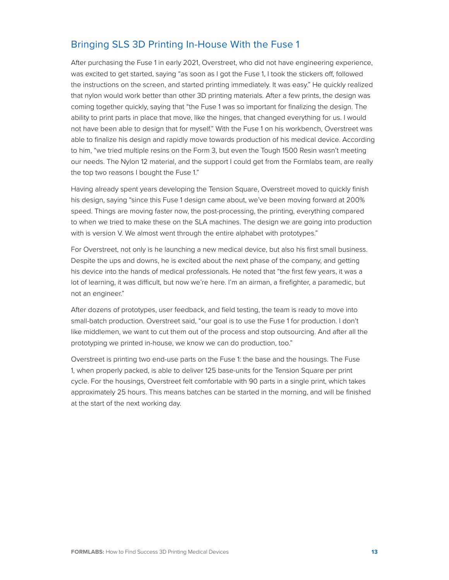## Bringing SLS 3D Printing In-House With the Fuse 1

After purchasing the Fuse 1 in early 2021, Overstreet, who did not have engineering experience, was excited to get started, saying "as soon as I got the Fuse 1, I took the stickers off, followed the instructions on the screen, and started printing immediately. It was easy." He quickly realized that nylon would work better than other 3D printing materials. After a few prints, the design was coming together quickly, saying that "the Fuse 1 was so important for finalizing the design. The ability to print parts in place that move, like the hinges, that changed everything for us. I would not have been able to design that for myself." With the Fuse 1 on his workbench, Overstreet was able to finalize his design and rapidly move towards production of his medical device. According to him, "we tried multiple resins on the Form 3, but even the Tough 1500 Resin wasn't meeting our needs. The Nylon 12 material, and the support I could get from the Formlabs team, are really the top two reasons I bought the Fuse 1."

Having already spent years developing the Tension Square, Overstreet moved to quickly finish his design, saying "since this Fuse 1 design came about, we've been moving forward at 200% speed. Things are moving faster now, the post-processing, the printing, everything compared to when we tried to make these on the SLA machines. The design we are going into production with is version V. We almost went through the entire alphabet with prototypes."

For Overstreet, not only is he launching a new medical device, but also his first small business. Despite the ups and downs, he is excited about the next phase of the company, and getting his device into the hands of medical professionals. He noted that "the first few years, it was a lot of learning, it was difficult, but now we're here. I'm an airman, a firefighter, a paramedic, but not an engineer."

After dozens of prototypes, user feedback, and field testing, the team is ready to move into small-batch production. Overstreet said, "our goal is to use the Fuse 1 for production. I don't like middlemen, we want to cut them out of the process and stop outsourcing. And after all the prototyping we printed in-house, we know we can do production, too."

Overstreet is printing two end-use parts on the Fuse 1: the base and the housings. The Fuse 1, when properly packed, is able to deliver 125 base-units for the Tension Square per print cycle. For the housings, Overstreet felt comfortable with 90 parts in a single print, which takes approximately 25 hours. This means batches can be started in the morning, and will be finished at the start of the next working day.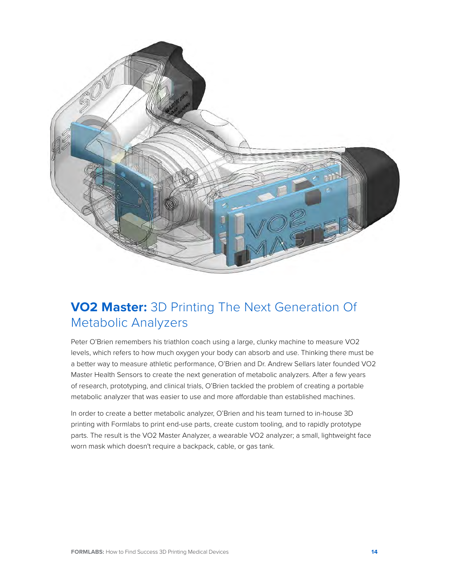<span id="page-13-0"></span>

# <span id="page-13-1"></span>**VO2 Master:** 3D Printing The Next Generation Of Metabolic Analyzers

Peter O'Brien remembers his triathlon coach using a large, clunky machine to measure VO2 levels, which refers to how much oxygen your body can absorb and use. Thinking there must be a better way to measure athletic performance, O'Brien and Dr. Andrew Sellars later founded VO2 Master Health Sensors to create the next generation of metabolic analyzers. After a few years of research, prototyping, and clinical trials, O'Brien tackled the problem of creating a portable metabolic analyzer that was easier to use and more affordable than established machines.

In order to create a better metabolic analyzer, O'Brien and his team turned to in-house 3D printing with Formlabs to print end-use parts, create custom tooling, and to rapidly prototype parts. The result is the VO2 Master Analyzer, a wearable VO2 analyzer; a small, lightweight face worn mask which doesn't require a backpack, cable, or gas tank.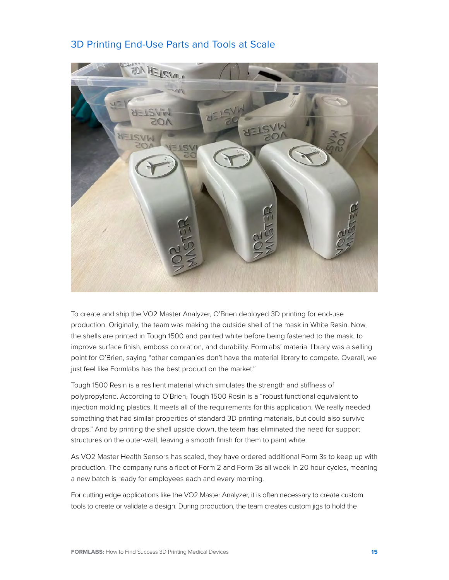#### 3D Printing End-Use Parts and Tools at Scale



To create and ship the VO2 Master Analyzer, O'Brien deployed 3D printing for end-use production. Originally, the team was making the outside shell of the mask in White Resin. Now, the shells are printed in Tough 1500 and painted white before being fastened to the mask, to improve surface finish, emboss coloration, and durability. Formlabs' material library was a selling point for O'Brien, saying "other companies don't have the material library to compete. Overall, we just feel like Formlabs has the best product on the market."

Tough 1500 Resin is a resilient material which simulates the strength and stiffness of polypropylene. According to O'Brien, Tough 1500 Resin is a "robust functional equivalent to injection molding plastics. It meets all of the requirements for this application. We really needed something that had similar properties of standard 3D printing materials, but could also survive drops." And by printing the shell upside down, the team has eliminated the need for support structures on the outer-wall, leaving a smooth finish for them to paint white.

As VO2 Master Health Sensors has scaled, they have ordered additional Form 3s to keep up with production. The company runs a fleet of Form 2 and Form 3s all week in 20 hour cycles, meaning a new batch is ready for employees each and every morning.

For cutting edge applications like the VO2 Master Analyzer, it is often necessary to create custom tools to create or validate a design. During production, the team creates custom jigs to hold the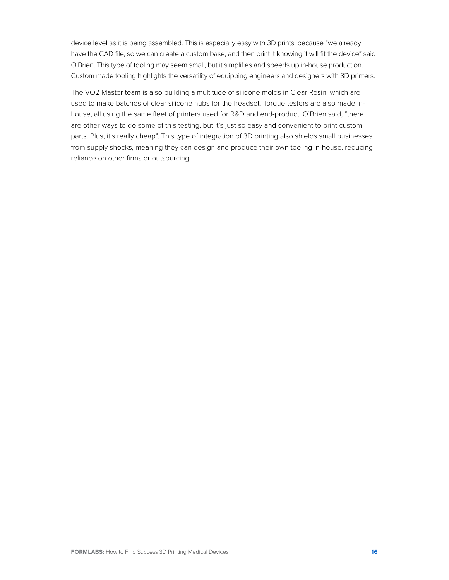device level as it is being assembled. This is especially easy with 3D prints, because "we already have the CAD file, so we can create a custom base, and then print it knowing it will fit the device" said O'Brien. This type of tooling may seem small, but it simplifies and speeds up in-house production. Custom made tooling highlights the versatility of equipping engineers and designers with 3D printers.

The VO2 Master team is also building a multitude of silicone molds in Clear Resin, which are used to make batches of clear silicone nubs for the headset. Torque testers are also made inhouse, all using the same fleet of printers used for R&D and end-product. O'Brien said, "there are other ways to do some of this testing, but it's just so easy and convenient to print custom parts. Plus, it's really cheap". This type of integration of 3D printing also shields small businesses from supply shocks, meaning they can design and produce their own tooling in-house, reducing reliance on other firms or outsourcing.